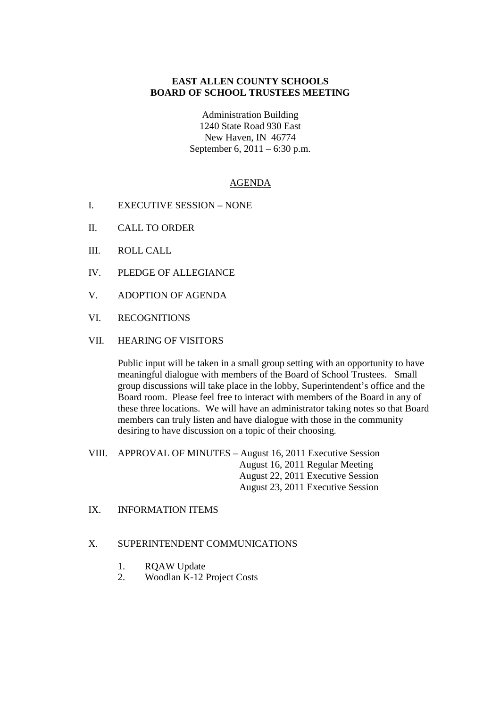# **EAST ALLEN COUNTY SCHOOLS BOARD OF SCHOOL TRUSTEES MEETING**

Administration Building 1240 State Road 930 East New Haven, IN 46774 September 6, 2011 – 6:30 p.m.

## AGENDA

- I. EXECUTIVE SESSION NONE
- II. CALL TO ORDER
- III. ROLL CALL
- IV. PLEDGE OF ALLEGIANCE
- V. ADOPTION OF AGENDA
- VI. RECOGNITIONS
- VII. HEARING OF VISITORS

Public input will be taken in a small group setting with an opportunity to have meaningful dialogue with members of the Board of School Trustees. Small group discussions will take place in the lobby, Superintendent's office and the Board room. Please feel free to interact with members of the Board in any of these three locations. We will have an administrator taking notes so that Board members can truly listen and have dialogue with those in the community desiring to have discussion on a topic of their choosing.

VIII. APPROVAL OF MINUTES – August 16, 2011 Executive Session August 16, 2011 Regular Meeting August 22, 2011 Executive Session August 23, 2011 Executive Session

IX. INFORMATION ITEMS

#### X. SUPERINTENDENT COMMUNICATIONS

- 1. RQAW Update
- 2. Woodlan K-12 Project Costs